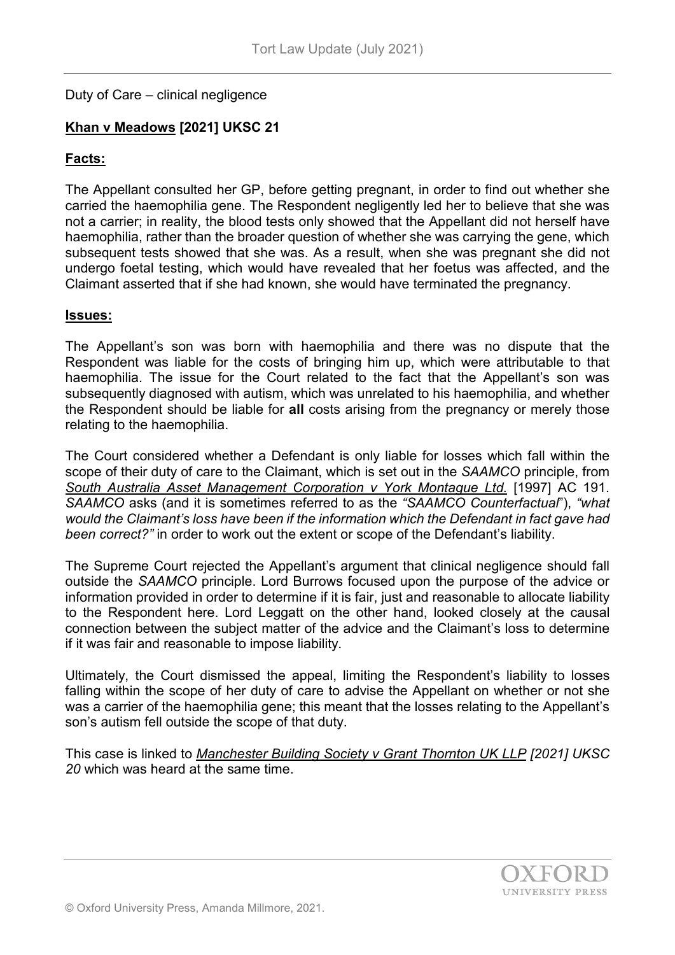# Duty of Care – clinical negligence

# **Khan v Meadows [2021] UKSC 21**

# **Facts:**

The Appellant consulted her GP, before getting pregnant, in order to find out whether she carried the haemophilia gene. The Respondent negligently led her to believe that she was not a carrier; in reality, the blood tests only showed that the Appellant did not herself have haemophilia, rather than the broader question of whether she was carrying the gene, which subsequent tests showed that she was. As a result, when she was pregnant she did not undergo foetal testing, which would have revealed that her foetus was affected, and the Claimant asserted that if she had known, she would have terminated the pregnancy.

#### **Issues:**

The Appellant's son was born with haemophilia and there was no dispute that the Respondent was liable for the costs of bringing him up, which were attributable to that haemophilia. The issue for the Court related to the fact that the Appellant's son was subsequently diagnosed with autism, which was unrelated to his haemophilia, and whether the Respondent should be liable for **all** costs arising from the pregnancy or merely those relating to the haemophilia.

The Court considered whether a Defendant is only liable for losses which fall within the scope of their duty of care to the Claimant, which is set out in the *SAAMCO* principle, from *South Australia Asset Management Corporation v York Montague Ltd.* [1997] AC 191. *SAAMCO* asks (and it is sometimes referred to as the *"SAAMCO Counterfactual*"), *"what would the Claimant's loss have been if the information which the Defendant in fact gave had been correct?"* in order to work out the extent or scope of the Defendant's liability.

The Supreme Court rejected the Appellant's argument that clinical negligence should fall outside the *SAAMCO* principle. Lord Burrows focused upon the purpose of the advice or information provided in order to determine if it is fair, just and reasonable to allocate liability to the Respondent here. Lord Leggatt on the other hand, looked closely at the causal connection between the subject matter of the advice and the Claimant's loss to determine if it was fair and reasonable to impose liability.

Ultimately, the Court dismissed the appeal, limiting the Respondent's liability to losses falling within the scope of her duty of care to advise the Appellant on whether or not she was a carrier of the haemophilia gene; this meant that the losses relating to the Appellant's son's autism fell outside the scope of that duty.

This case is linked to *Manchester Building Society v Grant Thornton UK LLP [2021] UKSC 20* which was heard at the same time.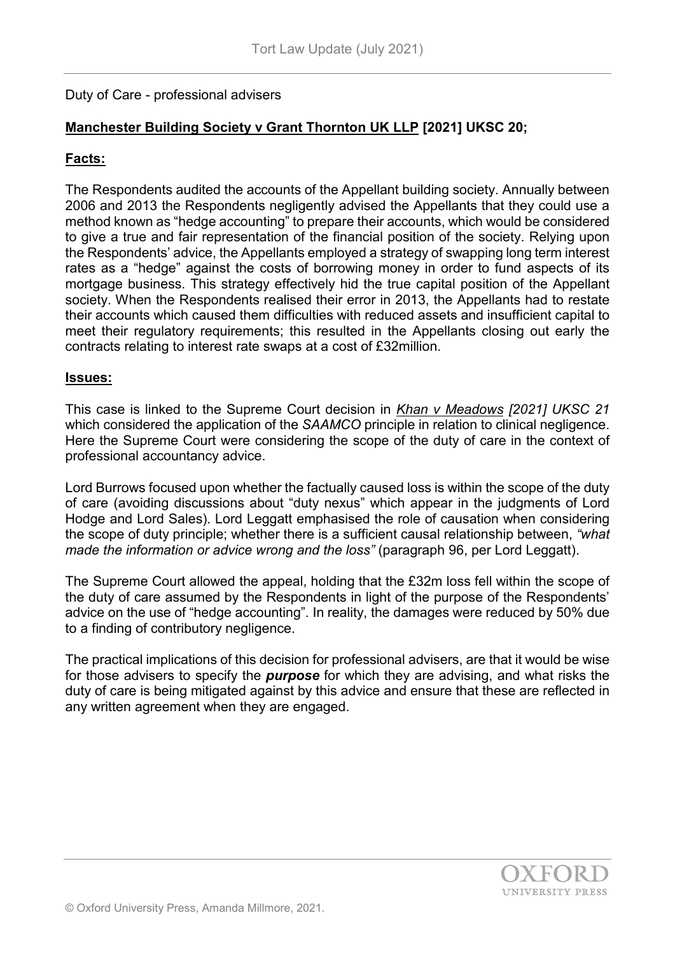# Duty of Care - professional advisers

# **Manchester Building Society v Grant Thornton UK LLP [2021] UKSC 20;**

# **Facts:**

The Respondents audited the accounts of the Appellant building society. Annually between 2006 and 2013 the Respondents negligently advised the Appellants that they could use a method known as "hedge accounting" to prepare their accounts, which would be considered to give a true and fair representation of the financial position of the society. Relying upon the Respondents' advice, the Appellants employed a strategy of swapping long term interest rates as a "hedge" against the costs of borrowing money in order to fund aspects of its mortgage business. This strategy effectively hid the true capital position of the Appellant society. When the Respondents realised their error in 2013, the Appellants had to restate their accounts which caused them difficulties with reduced assets and insufficient capital to meet their regulatory requirements; this resulted in the Appellants closing out early the contracts relating to interest rate swaps at a cost of £32million.

### **Issues:**

This case is linked to the Supreme Court decision in *Khan v Meadows [2021] UKSC 21* which considered the application of the *SAAMCO* principle in relation to clinical negligence. Here the Supreme Court were considering the scope of the duty of care in the context of professional accountancy advice.

Lord Burrows focused upon whether the factually caused loss is within the scope of the duty of care (avoiding discussions about "duty nexus" which appear in the judgments of Lord Hodge and Lord Sales). Lord Leggatt emphasised the role of causation when considering the scope of duty principle; whether there is a sufficient causal relationship between, *"what made the information or advice wrong and the loss"* (paragraph 96, per Lord Leggatt).

The Supreme Court allowed the appeal, holding that the £32m loss fell within the scope of the duty of care assumed by the Respondents in light of the purpose of the Respondents' advice on the use of "hedge accounting". In reality, the damages were reduced by 50% due to a finding of contributory negligence.

The practical implications of this decision for professional advisers, are that it would be wise for those advisers to specify the *purpose* for which they are advising, and what risks the duty of care is being mitigated against by this advice and ensure that these are reflected in any written agreement when they are engaged.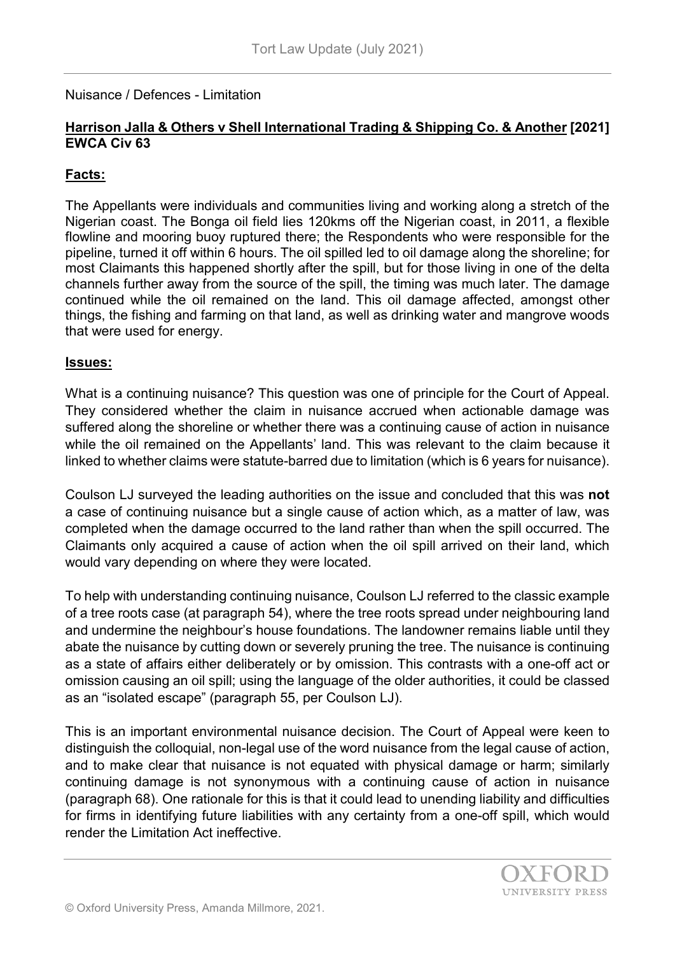Nuisance / Defences - Limitation

## **Harrison Jalla & Others v Shell International Trading & Shipping Co. & Another [2021] EWCA Civ 63**

### **Facts:**

The Appellants were individuals and communities living and working along a stretch of the Nigerian coast. The Bonga oil field lies 120kms off the Nigerian coast, in 2011, a flexible flowline and mooring buoy ruptured there; the Respondents who were responsible for the pipeline, turned it off within 6 hours. The oil spilled led to oil damage along the shoreline; for most Claimants this happened shortly after the spill, but for those living in one of the delta channels further away from the source of the spill, the timing was much later. The damage continued while the oil remained on the land. This oil damage affected, amongst other things, the fishing and farming on that land, as well as drinking water and mangrove woods that were used for energy.

#### **Issues:**

What is a continuing nuisance? This question was one of principle for the Court of Appeal. They considered whether the claim in nuisance accrued when actionable damage was suffered along the shoreline or whether there was a continuing cause of action in nuisance while the oil remained on the Appellants' land. This was relevant to the claim because it linked to whether claims were statute-barred due to limitation (which is 6 years for nuisance).

Coulson LJ surveyed the leading authorities on the issue and concluded that this was **not** a case of continuing nuisance but a single cause of action which, as a matter of law, was completed when the damage occurred to the land rather than when the spill occurred. The Claimants only acquired a cause of action when the oil spill arrived on their land, which would vary depending on where they were located.

To help with understanding continuing nuisance, Coulson LJ referred to the classic example of a tree roots case (at paragraph 54), where the tree roots spread under neighbouring land and undermine the neighbour's house foundations. The landowner remains liable until they abate the nuisance by cutting down or severely pruning the tree. The nuisance is continuing as a state of affairs either deliberately or by omission. This contrasts with a one-off act or omission causing an oil spill; using the language of the older authorities, it could be classed as an "isolated escape" (paragraph 55, per Coulson LJ).

This is an important environmental nuisance decision. The Court of Appeal were keen to distinguish the colloquial, non-legal use of the word nuisance from the legal cause of action, and to make clear that nuisance is not equated with physical damage or harm; similarly continuing damage is not synonymous with a continuing cause of action in nuisance (paragraph 68). One rationale for this is that it could lead to unending liability and difficulties for firms in identifying future liabilities with any certainty from a one-off spill, which would render the Limitation Act ineffective.

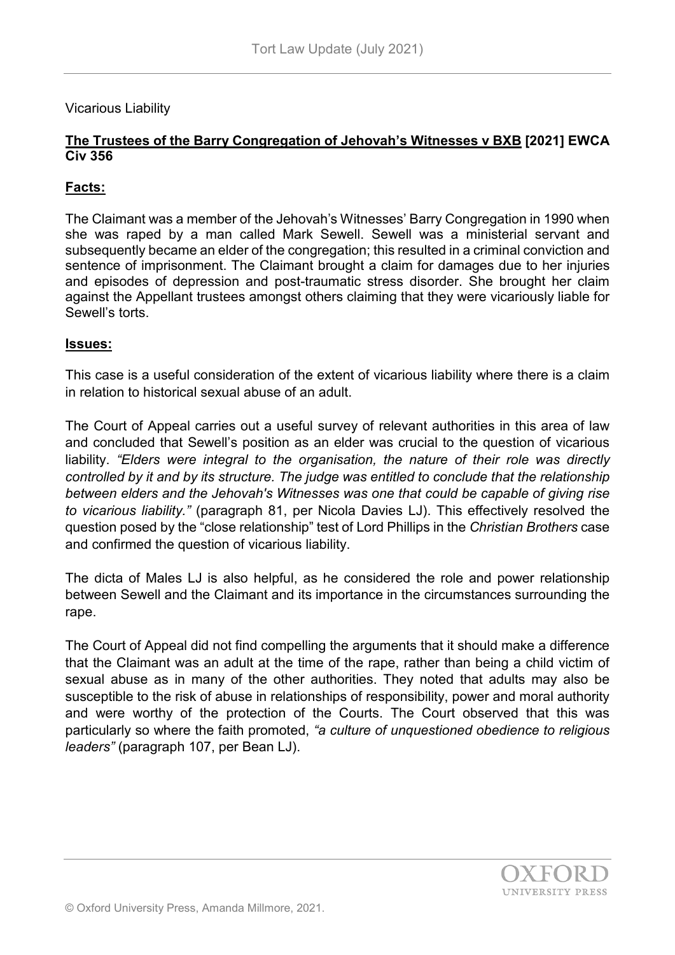# Vicarious Liability

# **The Trustees of the Barry Congregation of Jehovah's Witnesses v BXB [2021] EWCA Civ 356**

# **Facts:**

The Claimant was a member of the Jehovah's Witnesses' Barry Congregation in 1990 when she was raped by a man called Mark Sewell. Sewell was a ministerial servant and subsequently became an elder of the congregation; this resulted in a criminal conviction and sentence of imprisonment. The Claimant brought a claim for damages due to her injuries and episodes of depression and post-traumatic stress disorder. She brought her claim against the Appellant trustees amongst others claiming that they were vicariously liable for Sewell's torts.

### **Issues:**

This case is a useful consideration of the extent of vicarious liability where there is a claim in relation to historical sexual abuse of an adult.

The Court of Appeal carries out a useful survey of relevant authorities in this area of law and concluded that Sewell's position as an elder was crucial to the question of vicarious liability. *"Elders were integral to the organisation, the nature of their role was directly controlled by it and by its structure. The judge was entitled to conclude that the relationship between elders and the Jehovah's Witnesses was one that could be capable of giving rise to vicarious liability."* (paragraph 81, per Nicola Davies LJ). This effectively resolved the question posed by the "close relationship" test of Lord Phillips in the *Christian Brothers* case and confirmed the question of vicarious liability.

The dicta of Males LJ is also helpful, as he considered the role and power relationship between Sewell and the Claimant and its importance in the circumstances surrounding the rape.

The Court of Appeal did not find compelling the arguments that it should make a difference that the Claimant was an adult at the time of the rape, rather than being a child victim of sexual abuse as in many of the other authorities. They noted that adults may also be susceptible to the risk of abuse in relationships of responsibility, power and moral authority and were worthy of the protection of the Courts. The Court observed that this was particularly so where the faith promoted, *"a culture of unquestioned obedience to religious leaders"* (paragraph 107, per Bean LJ).

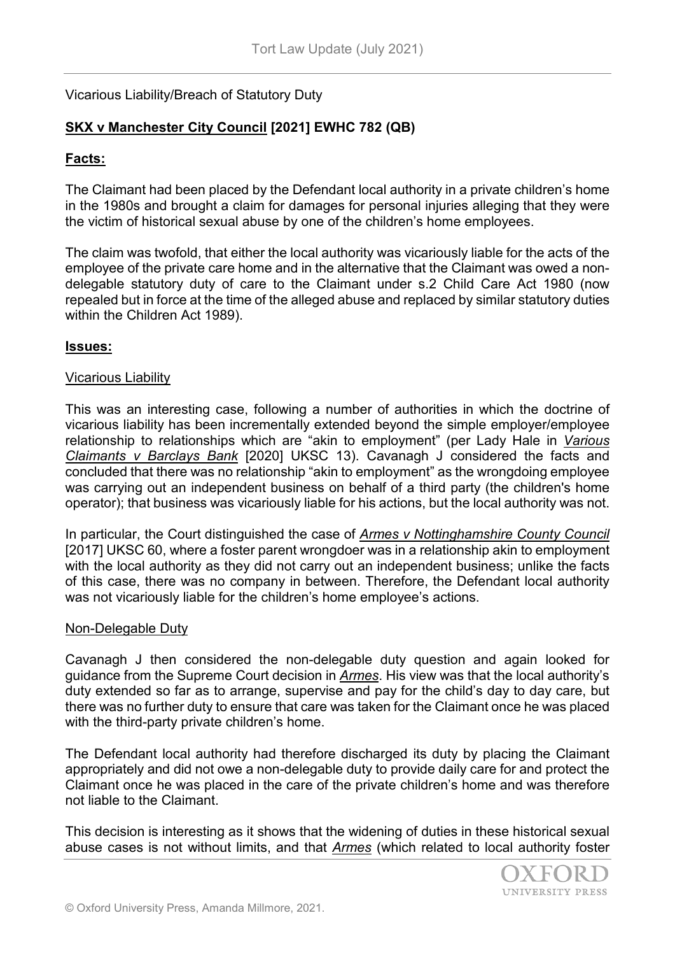# Vicarious Liability/Breach of Statutory Duty

# **SKX v Manchester City Council [2021] EWHC 782 (QB)**

### **Facts:**

The Claimant had been placed by the Defendant local authority in a private children's home in the 1980s and brought a claim for damages for personal injuries alleging that they were the victim of historical sexual abuse by one of the children's home employees.

The claim was twofold, that either the local authority was vicariously liable for the acts of the employee of the private care home and in the alternative that the Claimant was owed a nondelegable statutory duty of care to the Claimant under s.2 Child Care Act 1980 (now repealed but in force at the time of the alleged abuse and replaced by similar statutory duties within the Children Act 1989).

#### **Issues:**

#### Vicarious Liability

This was an interesting case, following a number of authorities in which the doctrine of vicarious liability has been incrementally extended beyond the simple employer/employee relationship to relationships which are "akin to employment" (per Lady Hale in *Various Claimants v Barclays Bank* [2020] UKSC 13). Cavanagh J considered the facts and concluded that there was no relationship "akin to employment" as the wrongdoing employee was carrying out an independent business on behalf of a third party (the children's home operator); that business was vicariously liable for his actions, but the local authority was not.

In particular, the Court distinguished the case of *Armes v Nottinghamshire County Council* [2017] UKSC 60, where a foster parent wrongdoer was in a relationship akin to employment with the local authority as they did not carry out an independent business; unlike the facts of this case, there was no company in between. Therefore, the Defendant local authority was not vicariously liable for the children's home employee's actions.

#### Non-Delegable Duty

Cavanagh J then considered the non-delegable duty question and again looked for guidance from the Supreme Court decision in *Armes*. His view was that the local authority's duty extended so far as to arrange, supervise and pay for the child's day to day care, but there was no further duty to ensure that care was taken for the Claimant once he was placed with the third-party private children's home.

The Defendant local authority had therefore discharged its duty by placing the Claimant appropriately and did not owe a non-delegable duty to provide daily care for and protect the Claimant once he was placed in the care of the private children's home and was therefore not liable to the Claimant.

This decision is interesting as it shows that the widening of duties in these historical sexual abuse cases is not without limits, and that *Armes* (which related to local authority foster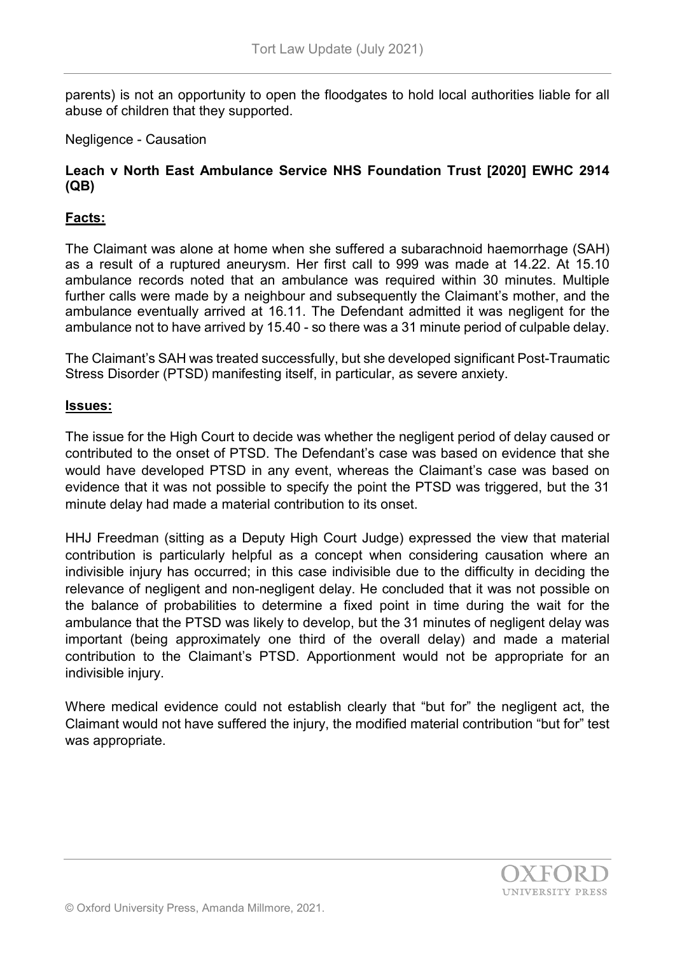parents) is not an opportunity to open the floodgates to hold local authorities liable for all abuse of children that they supported.

# Negligence - Causation

# **Leach v North East Ambulance Service NHS Foundation Trust [2020] EWHC 2914 (QB)**

# **Facts:**

The Claimant was alone at home when she suffered a subarachnoid haemorrhage (SAH) as a result of a ruptured aneurysm. Her first call to 999 was made at 14.22. At 15.10 ambulance records noted that an ambulance was required within 30 minutes. Multiple further calls were made by a neighbour and subsequently the Claimant's mother, and the ambulance eventually arrived at 16.11. The Defendant admitted it was negligent for the ambulance not to have arrived by 15.40 - so there was a 31 minute period of culpable delay.

The Claimant's SAH was treated successfully, but she developed significant Post-Traumatic Stress Disorder (PTSD) manifesting itself, in particular, as severe anxiety.

#### **Issues:**

The issue for the High Court to decide was whether the negligent period of delay caused or contributed to the onset of PTSD. The Defendant's case was based on evidence that she would have developed PTSD in any event, whereas the Claimant's case was based on evidence that it was not possible to specify the point the PTSD was triggered, but the 31 minute delay had made a material contribution to its onset.

HHJ Freedman (sitting as a Deputy High Court Judge) expressed the view that material contribution is particularly helpful as a concept when considering causation where an indivisible injury has occurred; in this case indivisible due to the difficulty in deciding the relevance of negligent and non-negligent delay. He concluded that it was not possible on the balance of probabilities to determine a fixed point in time during the wait for the ambulance that the PTSD was likely to develop, but the 31 minutes of negligent delay was important (being approximately one third of the overall delay) and made a material contribution to the Claimant's PTSD. Apportionment would not be appropriate for an indivisible injury.

Where medical evidence could not establish clearly that "but for" the negligent act, the Claimant would not have suffered the injury, the modified material contribution "but for" test was appropriate.

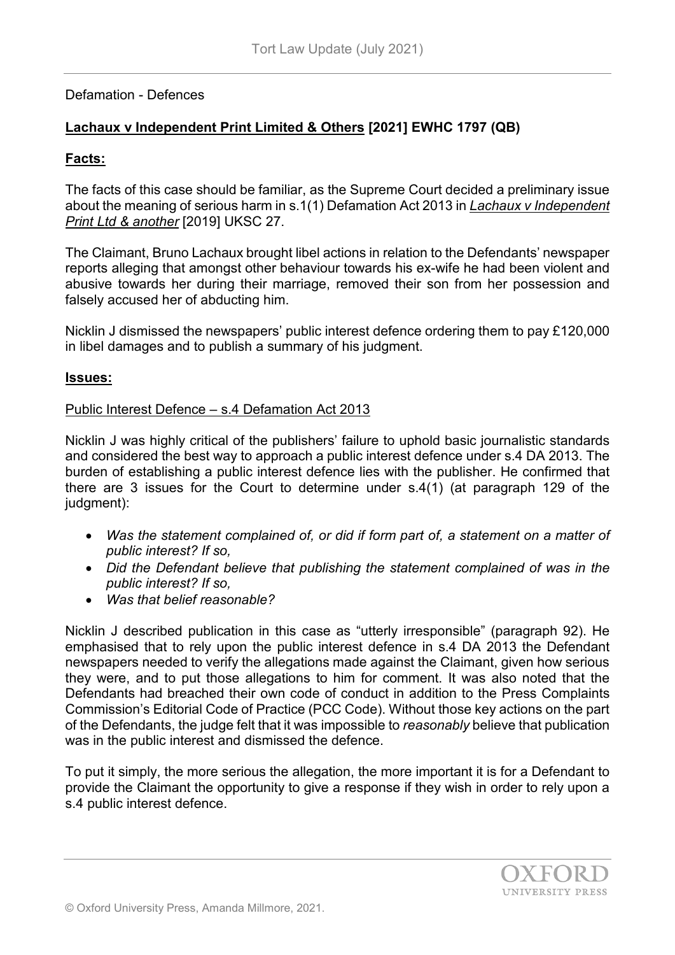# Defamation - Defences

# **Lachaux v Independent Print Limited & Others [2021] EWHC 1797 (QB)**

# **Facts:**

The facts of this case should be familiar, as the Supreme Court decided a preliminary issue about the meaning of serious harm in s.1(1) Defamation Act 2013 in *Lachaux v Independent Print Ltd & another* [2019] UKSC 27.

The Claimant, Bruno Lachaux brought libel actions in relation to the Defendants' newspaper reports alleging that amongst other behaviour towards his ex-wife he had been violent and abusive towards her during their marriage, removed their son from her possession and falsely accused her of abducting him.

Nicklin J dismissed the newspapers' public interest defence ordering them to pay £120,000 in libel damages and to publish a summary of his judgment.

### **Issues:**

### Public Interest Defence – s.4 Defamation Act 2013

Nicklin J was highly critical of the publishers' failure to uphold basic journalistic standards and considered the best way to approach a public interest defence under s.4 DA 2013. The burden of establishing a public interest defence lies with the publisher. He confirmed that there are 3 issues for the Court to determine under s.4(1) (at paragraph 129 of the judgment):

- *Was the statement complained of, or did if form part of, a statement on a matter of public interest? If so,*
- *Did the Defendant believe that publishing the statement complained of was in the public interest? If so,*
- *Was that belief reasonable?*

Nicklin J described publication in this case as "utterly irresponsible" (paragraph 92). He emphasised that to rely upon the public interest defence in s.4 DA 2013 the Defendant newspapers needed to verify the allegations made against the Claimant, given how serious they were, and to put those allegations to him for comment. It was also noted that the Defendants had breached their own code of conduct in addition to the Press Complaints Commission's Editorial Code of Practice (PCC Code). Without those key actions on the part of the Defendants, the judge felt that it was impossible to *reasonably* believe that publication was in the public interest and dismissed the defence.

To put it simply, the more serious the allegation, the more important it is for a Defendant to provide the Claimant the opportunity to give a response if they wish in order to rely upon a s.4 public interest defence.